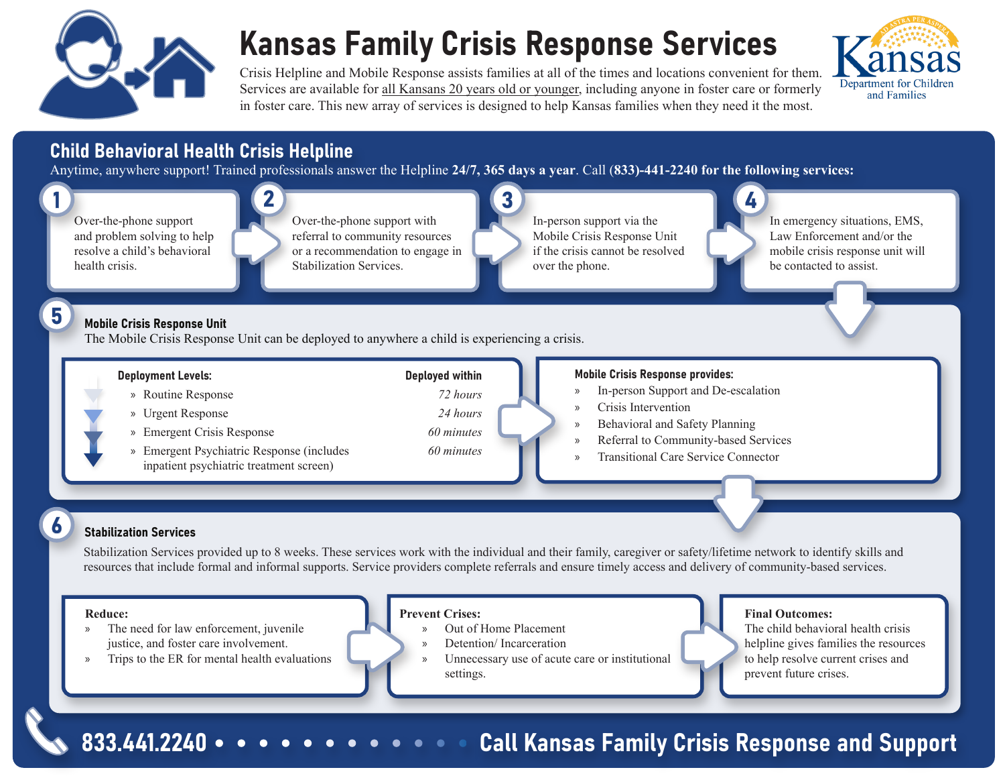

## Kansas Family Crisis Response Services

Crisis Helpline and Mobile Response assists families at all of the times and locations convenient for them. Services are available for all Kansans 20 years old or younger, including anyone in foster care or formerly in foster care. This new array of services is designed to help Kansas families when they need it the most.



#### Child Behavioral Health Crisis Helpline

Anytime, anywhere support! Trained professionals answer the Helpline **24/7, 365 days a year**. Call (**833)-441-2240 for the following services:**



833.441.2240 • • • • • • • • • • • • Call Kansas Family Crisis Response and Support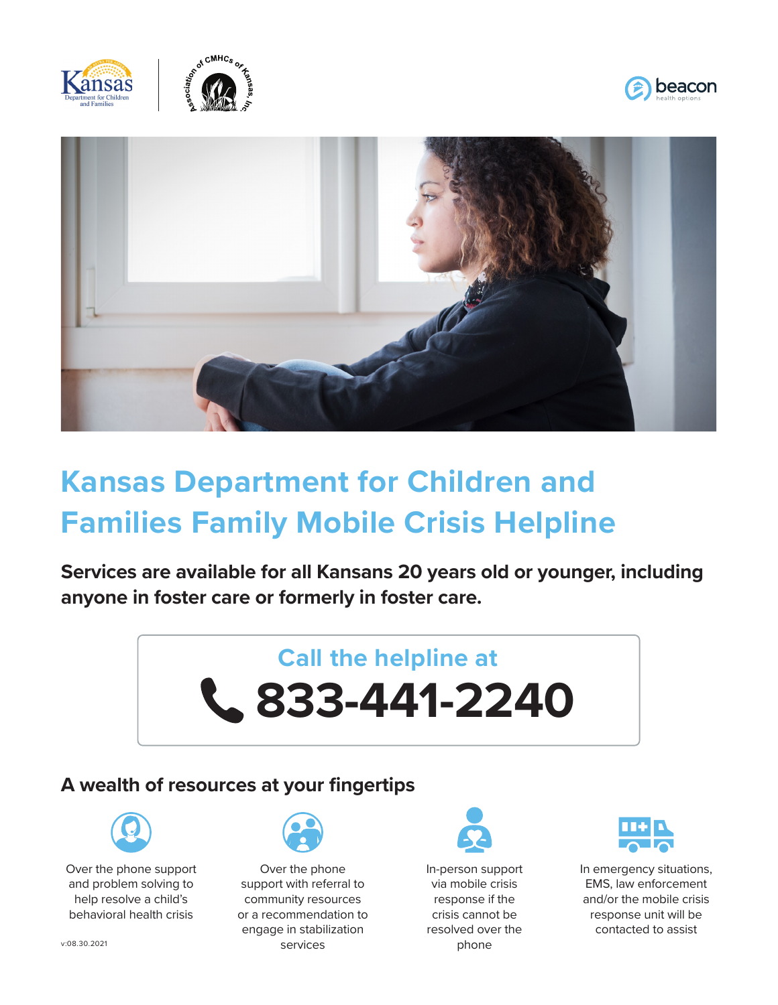







### **Kansas Department for Children and Families Family Mobile Crisis Helpline**

**Services are available for all Kansans 20 years old or younger, including anyone in foster care or formerly in foster care.**

# **Call the helpline at 833-441-2240**

#### **A wealth of resources at your fingertips**



Over the phone support and problem solving to help resolve a child's behavioral health crisis



Over the phone support with referral to community resources or a recommendation to engage in stabilization services



In-person support via mobile crisis response if the crisis cannot be resolved over the phone



In emergency situations, EMS, law enforcement and/or the mobile crisis response unit will be contacted to assist